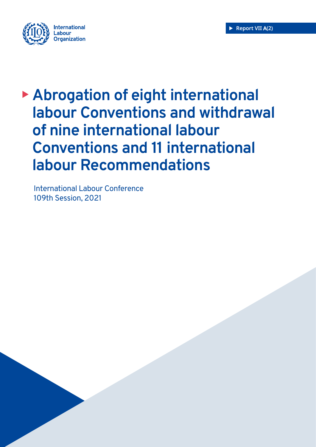

# **Abrogation of eight international labour Conventions and withdrawal of nine international labour Conventions and 11 international labour Recommendations**

International Labour Conference 109th Session, 2021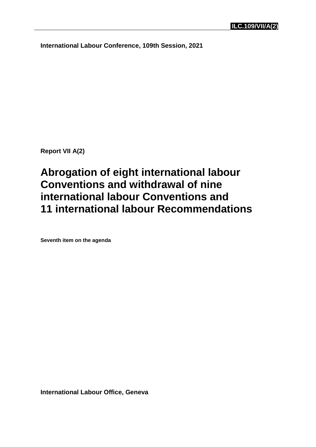**International Labour Conference, 109th Session, 2021**

**Report VII A(2)**

## **Abrogation of eight international labour Conventions and withdrawal of nine international labour Conventions and 11 international labour Recommendations**

**Seventh item on the agenda**

**International Labour Office, Geneva**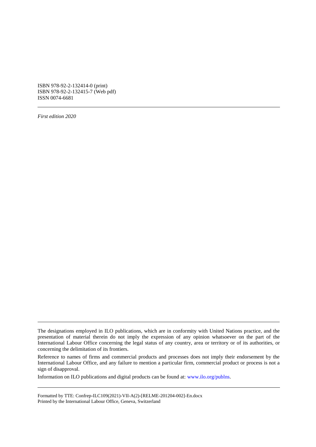ISBN 978-92-2-132414-0 (print) ISBN 978-92-2-132415-7 (Web pdf) ISSN 0074-6681

*First edition 2020*

Information on ILO publications and digital products can be found at: [www.ilo.org/publns.](http://www.ilo.org/publns)

Formatted by TTE: Confrep-ILC109(2021)-VII-A(2)-[RELME-201204-002]-En.docx Printed by the International Labour Office, Geneva, Switzerland

The designations employed in ILO publications, which are in conformity with United Nations practice, and the presentation of material therein do not imply the expression of any opinion whatsoever on the part of the International Labour Office concerning the legal status of any country, area or territory or of its authorities, or concerning the delimitation of its frontiers.

Reference to names of firms and commercial products and processes does not imply their endorsement by the International Labour Office, and any failure to mention a particular firm, commercial product or process is not a sign of disapproval.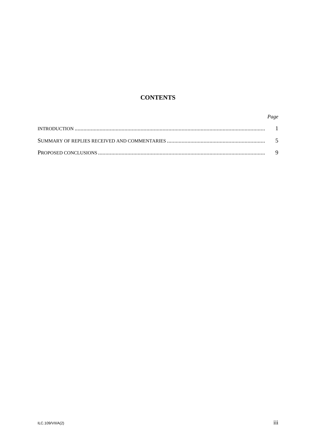### **CONTENTS**

#### Page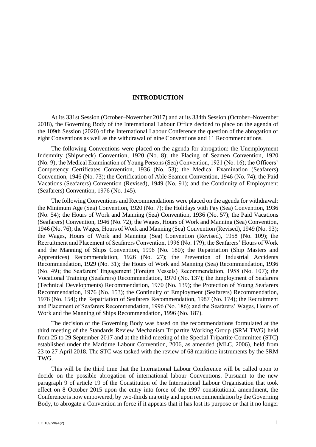#### **INTRODUCTION**

<span id="page-5-0"></span>At its 331st Session (October–November 2017) and at its 334th Session (October–November 2018), the Governing Body of the International Labour Office decided to place on the agenda of the 109th Session (2020) of the International Labour Conference the question of the abrogation of eight Conventions as well as the withdrawal of nine Conventions and 11 Recommendations.

The following Conventions were placed on the agenda for abrogation: the Unemployment Indemnity (Shipwreck) Convention, 1920 (No. 8); the Placing of Seamen Convention, 1920 (No. 9); the Medical Examination of Young Persons (Sea) Convention, 1921 (No. 16); the Officers' Competency Certificates Convention, 1936 (No. 53); the Medical Examination (Seafarers) Convention, 1946 (No. 73); the Certification of Able Seamen Convention, 1946 (No. 74); the Paid Vacations (Seafarers) Convention (Revised), 1949 (No. 91); and the Continuity of Employment (Seafarers) Convention, 1976 (No. 145).

The following Conventions and Recommendations were placed on the agenda for withdrawal: the Minimum Age (Sea) Convention, 1920 (No. 7); the Holidays with Pay (Sea) Convention, 1936 (No. 54); the Hours of Work and Manning (Sea) Convention, 1936 (No. 57); the Paid Vacations (Seafarers) Convention, 1946 (No. 72); the Wages, Hours of Work and Manning (Sea) Convention, 1946 (No. 76); the Wages, Hours of Work and Manning (Sea) Convention (Revised), 1949 (No. 93); the Wages, Hours of Work and Manning (Sea) Convention (Revised), 1958 (No. 109); the Recruitment and Placement of Seafarers Convention, 1996 (No. 179); the Seafarers' Hours of Work and the Manning of Ships Convention, 1996 (No. 180); the Repatriation (Ship Masters and Apprentices) Recommendation, 1926 (No. 27); the Prevention of Industrial Accidents Recommendation, 1929 (No. 31); the Hours of Work and Manning (Sea) Recommendation, 1936 (No. 49); the Seafarers' Engagement (Foreign Vessels) Recommendation, 1958 (No. 107); the Vocational Training (Seafarers) Recommendation, 1970 (No. 137); the Employment of Seafarers (Technical Developments) Recommendation, 1970 (No. 139); the Protection of Young Seafarers Recommendation, 1976 (No. 153); the Continuity of Employment (Seafarers) Recommendation, 1976 (No. 154); the Repatriation of Seafarers Recommendation, 1987 (No. 174); the Recruitment and Placement of Seafarers Recommendation, 1996 (No. 186); and the Seafarers' Wages, Hours of Work and the Manning of Ships Recommendation, 1996 (No. 187).

The decision of the Governing Body was based on the recommendations formulated at the third meeting of the Standards Review Mechanism Tripartite Working Group (SRM TWG) held from 25 to 29 September 2017 and at the third meeting of the Special Tripartite Committee (STC) established under the Maritime Labour Convention, 2006, as amended (MLC, 2006), held from 23 to 27 April 2018. The STC was tasked with the review of 68 maritime instruments by the SRM TWG.

This will be the third time that the International Labour Conference will be called upon to decide on the possible abrogation of international labour Conventions. Pursuant to the new paragraph 9 of article 19 of the Constitution of the International Labour Organisation that took effect on 8 October 2015 upon the entry into force of the 1997 constitutional amendment, the Conference is now empowered, by two-thirds majority and upon recommendation by the Governing Body, to abrogate a Convention in force if it appears that it has lost its purpose or that it no longer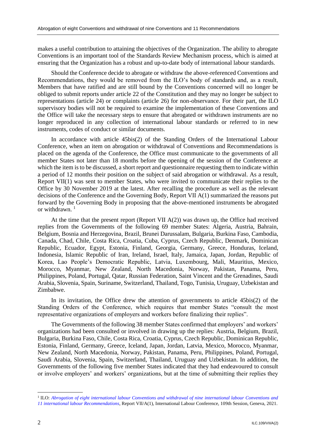makes a useful contribution to attaining the objectives of the Organization. The ability to abrogate Conventions is an important tool of the Standards Review Mechanism process, which is aimed at ensuring that the Organization has a robust and up-to-date body of international labour standards.

Should the Conference decide to abrogate or withdraw the above-referenced Conventions and Recommendations, they would be removed from the ILO's body of standards and, as a result, Members that have ratified and are still bound by the Conventions concerned will no longer be obliged to submit reports under article 22 of the Constitution and they may no longer be subject to representations (article 24) or complaints (article 26) for non-observance. For their part, the ILO supervisory bodies will not be required to examine the implementation of these Conventions and the Office will take the necessary steps to ensure that abrogated or withdrawn instruments are no longer reproduced in any collection of international labour standards or referred to in new instruments, codes of conduct or similar documents.

In accordance with article 45bis(2) of the Standing Orders of the International Labour Conference, when an item on abrogation or withdrawal of Conventions and Recommendations is placed on the agenda of the Conference, the Office must communicate to the governments of all member States not later than 18 months before the opening of the session of the Conference at which the item is to be discussed, a short report and questionnaire requesting them to indicate within a period of 12 months their position on the subject of said abrogation or withdrawal. As a result, Report VII(1) was sent to member States, who were invited to communicate their replies to the Office by 30 November 2019 at the latest. After recalling the procedure as well as the relevant decisions of the Conference and the Governing Body, Report VII A(1) summarized the reasons put forward by the Governing Body in proposing that the above-mentioned instruments be abrogated or withdrawn.  $1$ 

At the time that the present report (Report VII A(2)) was drawn up, the Office had received replies from the Governments of the following 69 member States: Algeria, Austria, Bahrain, Belgium, Bosnia and Herzegovina, Brazil, Brunei Darussalam, Bulgaria, Burkina Faso, Cambodia, Canada, Chad, Chile, Costa Rica, Croatia, Cuba, Cyprus, Czech Republic, Denmark, Dominican Republic, Ecuador, Egypt, Estonia, Finland, Georgia, Germany, Greece, Honduras, Iceland, Indonesia, Islamic Republic of Iran, Ireland, Israel, Italy, Jamaica, Japan, Jordan, Republic of Korea, Lao People's Democratic Republic, Latvia, Luxembourg, Mali, Mauritius, Mexico, Morocco, Myanmar, New Zealand, North Macedonia, Norway, Pakistan, Panama, Peru, Philippines, Poland, Portugal, Qatar, Russian Federation, Saint Vincent and the Grenadines, Saudi Arabia, Slovenia, Spain, Suriname, Switzerland, Thailand, Togo, Tunisia, Uruguay, Uzbekistan and Zimbabwe.

In its invitation, the Office drew the attention of governments to article 45bis(2) of the Standing Orders of the Conference, which requires that member States "consult the most representative organizations of employers and workers before finalizing their replies".

The Governments of the following 38 member States confirmed that employers' and workers' organizations had been consulted or involved in drawing up the replies: Austria, Belgium, Brazil, Bulgaria, Burkina Faso, Chile, Costa Rica, Croatia, Cyprus, Czech Republic, Dominican Republic, Estonia, Finland, Germany, Greece, Iceland, Japan, Jordan, Latvia, Mexico, Morocco, Myanmar, New Zealand, North Macedonia, Norway, Pakistan, Panama, Peru, Philippines, Poland, Portugal, Saudi Arabia, Slovenia, Spain, Switzerland, Thailand, Uruguay and Uzbekistan. In addition, the Governments of the following five member States indicated that they had endeavoured to consult or involve employers' and workers' organizations, but at the time of submitting their replies they

<sup>&</sup>lt;sup>1</sup> ILO: *Abrogation of eight international labour Conventions and withdrawal of nine international labour Conventions and 11 [international labour Recommendations](https://www.ilo.org/wcmsp5/groups/public/---ed_norm/---relconf/documents/meetingdocument/wcms_650823.pdf)*, Report VII/A(1), International Labour Conference, 109th Session, Geneva, 2021.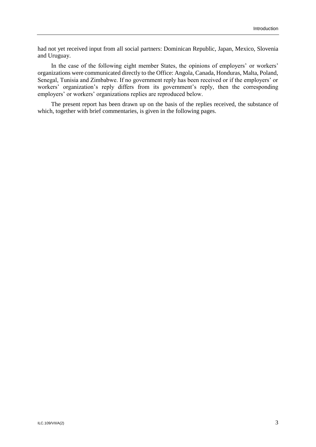had not yet received input from all social partners: Dominican Republic, Japan, Mexico, Slovenia and Uruguay.

In the case of the following eight member States, the opinions of employers' or workers' organizations were communicated directly to the Office: Angola, Canada, Honduras, Malta, Poland, Senegal, Tunisia and Zimbabwe. If no government reply has been received or if the employers' or workers' organization's reply differs from its government's reply, then the corresponding employers' or workers' organizations replies are reproduced below.

The present report has been drawn up on the basis of the replies received, the substance of which, together with brief commentaries, is given in the following pages.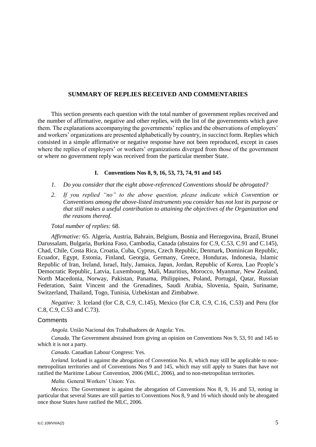#### <span id="page-9-0"></span>**SUMMARY OF REPLIES RECEIVED AND COMMENTARIES**

This section presents each question with the total number of government replies received and the number of affirmative, negative and other replies, with the list of the governments which gave them. The explanations accompanying the governments' replies and the observations of employers' and workers' organizations are presented alphabetically by country, in succinct form. Replies which consisted in a simple affirmative or negative response have not been reproduced, except in cases where the replies of employers' or workers' organizations diverged from those of the government or where no government reply was received from the particular member State.

#### **I. Conventions Nos 8, 9, 16, 53, 73, 74, 91 and 145**

- *1. Do you consider that the eight above-referenced Conventions should be abrogated?*
- *2. If you replied "no" to the above question, please indicate which Convention or Conventions among the above-listed instruments you consider has not lost its purpose or that still makes a useful contribution to attaining the objectives of the Organization and the reasons thereof.*

#### *Total number of replies:* 68.

*Affirmative:* 65. Algeria, Austria, Bahrain, Belgium, Bosnia and Herzegovina, Brazil, Brunei Darussalam, Bulgaria, Burkina Faso, Cambodia, Canada (abstains for C.9, C.53, C.91 and C.145), Chad, Chile, Costa Rica, Croatia, Cuba, Cyprus, Czech Republic, Denmark, Dominican Republic, Ecuador, Egypt, Estonia, Finland, Georgia, Germany, Greece, Honduras, Indonesia, Islamic Republic of Iran, Ireland, Israel, Italy, Jamaica, Japan, Jordan, Republic of Korea, Lao People's Democratic Republic, Latvia, Luxembourg, Mali, Mauritius, Morocco, Myanmar, New Zealand, North Macedonia, Norway, Pakistan, Panama, Philippines, Poland, Portugal, Qatar, Russian Federation, Saint Vincent and the Grenadines, Saudi Arabia, Slovenia, Spain, Suriname, Switzerland, Thailand, Togo, Tunisia, Uzbekistan and Zimbabwe.

*Negative:* 3. Iceland (for C.8, C.9, C.145), Mexico (for C.8, C.9, C.16, C.53) and Peru (for C.8, C.9, C.53 and C.73).

#### **Comments**

*Angola.* União Nacional dos Trabalhadores de Angola: Yes.

*Canada*. The Government abstained from giving an opinion on Conventions Nos 9, 53, 91 and 145 to which it is not a party.

*Canada.* Canadian Labour Congress: Yes.

*Iceland*. Iceland is against the abrogation of Convention No. 8, which may still be applicable to nonmetropolitan territories and of Conventions Nos 9 and 145, which may still apply to States that have not ratified the Maritime Labour Convention, 2006 (MLC, 2006), and to non-metropolitan territories.

*Malta.* General Workers' Union: Yes.

*Mexico*. The Government is against the abrogation of Conventions Nos 8, 9, 16 and 53, noting in particular that several States are still parties to Conventions Nos 8, 9 and 16 which should only be abrogated once those States have ratified the MLC, 2006.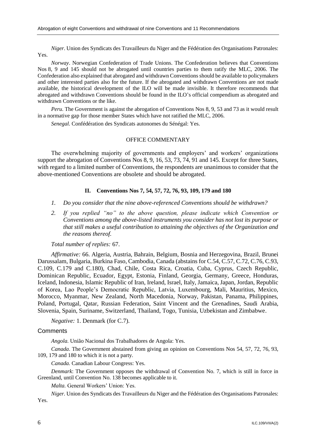*Niger*. Union des Syndicats des Travailleurs du Niger and the Fédération des Organisations Patronales: Yes.

*Norway*. Norwegian Confederation of Trade Unions. The Confederation believes that Conventions Nos 8, 9 and 145 should not be abrogated until countries parties to them ratify the MLC, 2006. The Confederation also explained that abrogated and withdrawn Conventions should be available to policymakers and other interested parties also for the future. If the abrogated and withdrawn Conventions are not made available, the historical development of the ILO will be made invisible. It therefore recommends that abrogated and withdrawn Conventions should be found in the ILO's official compendium as abrogated and withdrawn Conventions or the like.

*Peru*. The Government is against the abrogation of Conventions Nos 8, 9, 53 and 73 as it would result in a normative gap for those member States which have not ratified the MLC, 2006.

*Senegal.* Confédération des Syndicats autonomes du Sénégal: Yes.

#### OFFICE COMMENTARY

The overwhelming majority of governments and employers' and workers' organizations support the abrogation of Conventions Nos 8, 9, 16, 53, 73, 74, 91 and 145. Except for three States, with regard to a limited number of Conventions, the respondents are unanimous to consider that the above-mentioned Conventions are obsolete and should be abrogated.

#### **II. Conventions Nos 7, 54, 57, 72, 76, 93, 109, 179 and 180**

- *1. Do you consider that the nine above-referenced Conventions should be withdrawn?*
- *2. If you replied "no" to the above question, please indicate which Convention or Conventions among the above-listed instruments you consider has not lost its purpose or that still makes a useful contribution to attaining the objectives of the Organization and the reasons thereof.*

#### *Total number of replies:* 67.

*Affirmative:* 66. Algeria, Austria, Bahrain, Belgium, Bosnia and Herzegovina, Brazil, Brunei Darussalam, Bulgaria, Burkina Faso, Cambodia, Canada (abstains for C.54, C.57, C.72, C.76, C.93, C.109, C.179 and C.180), Chad, Chile, Costa Rica, Croatia, Cuba, Cyprus, Czech Republic, Dominican Republic, Ecuador, Egypt, Estonia, Finland, Georgia, Germany, Greece, Honduras, Iceland, Indonesia, Islamic Republic of Iran, Ireland, Israel, Italy, Jamaica, Japan, Jordan, Republic of Korea, Lao People's Democratic Republic, Latvia, Luxembourg, Mali, Mauritius, Mexico, Morocco, Myanmar, New Zealand, North Macedonia, Norway, Pakistan, Panama, Philippines, Poland, Portugal, Qatar, Russian Federation, Saint Vincent and the Grenadines, Saudi Arabia, Slovenia, Spain, Suriname, Switzerland, Thailand, Togo, Tunisia, Uzbekistan and Zimbabwe.

#### *Negative:* 1. Denmark (for C.7).

#### **Comments**

*Angola.* União Nacional dos Trabalhadores de Angola: Yes.

*Canada*. The Government abstained from giving an opinion on Conventions Nos 54, 57, 72, 76, 93, 109, 179 and 180 to which it is not a party.

*Canada.* Canadian Labour Congress: Yes.

*Denmark*: The Government opposes the withdrawal of Convention No. 7, which is still in force in Greenland, until Convention No. 138 becomes applicable to it.

*Malta.* General Workers' Union: Yes.

*Niger.* Union des Syndicats des Travailleurs du Niger and the Fédération des Organisations Patronales: Yes.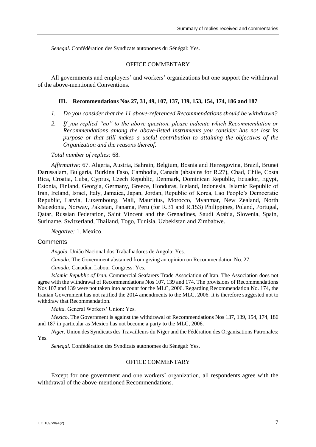*Senegal.* Confédération des Syndicats autonomes du Sénégal: Yes.

#### OFFICE COMMENTARY

All governments and employers' and workers' organizations but one support the withdrawal of the above-mentioned Conventions.

#### **III. Recommendations Nos 27, 31, 49, 107, 137, 139, 153, 154, 174, 186 and 187**

- *1. Do you consider that the 11 above-referenced Recommendations should be withdrawn?*
- *2. If you replied "no" to the above question, please indicate which Recommendation or Recommendations among the above-listed instruments you consider has not lost its purpose or that still makes a useful contribution to attaining the objectives of the Organization and the reasons thereof.*

*Total number of replies:* 68.

*Affirmative:* 67. Algeria, Austria, Bahrain, Belgium, Bosnia and Herzegovina, Brazil, Brunei Darussalam, Bulgaria, Burkina Faso, Cambodia, Canada (abstains for R.27), Chad, Chile, Costa Rica, Croatia, Cuba, Cyprus, Czech Republic, Denmark, Dominican Republic, Ecuador, Egypt, Estonia, Finland, Georgia, Germany, Greece, Honduras, Iceland, Indonesia, Islamic Republic of Iran, Ireland, Israel, Italy, Jamaica, Japan, Jordan, Republic of Korea, Lao People's Democratic Republic, Latvia, Luxembourg, Mali, Mauritius, Morocco, Myanmar, New Zealand, North Macedonia, Norway, Pakistan, Panama, Peru (for R.31 and R.153) Philippines, Poland, Portugal, Qatar, Russian Federation, Saint Vincent and the Grenadines, Saudi Arabia, Slovenia, Spain, Suriname, Switzerland, Thailand, Togo, Tunisia, Uzbekistan and Zimbabwe.

*Negative:* 1. Mexico.

#### **Comments**

*Angola.* União Nacional dos Trabalhadores de Angola: Yes.

*Canada*. The Government abstained from giving an opinion on Recommendation No. 27.

*Canada.* Canadian Labour Congress: Yes.

*Islamic Republic of Iran.* Commercial Seafarers Trade Association of Iran. The Association does not agree with the withdrawal of Recommendations Nos 107, 139 and 174. The provisions of Recommendations Nos 107 and 139 were not taken into account for the MLC, 2006. Regarding Recommendation No. 174, the Iranian Government has not ratified the 2014 amendments to the MLC, 2006. It is therefore suggested not to withdraw that Recommendation.

*Malta.* General Workers' Union: Yes.

*Mexico*. The Government is against the withdrawal of Recommendations Nos 137, 139, 154, 174, 186 and 187 in particular as Mexico has not become a party to the MLC, 2006.

*Niger.* Union des Syndicats des Travailleurs du Niger and the Fédération des Organisations Patronales: Yes.

*Senegal.* Confédération des Syndicats autonomes du Sénégal: Yes.

#### OFFICE COMMENTARY

Except for one government and one workers' organization, all respondents agree with the withdrawal of the above-mentioned Recommendations.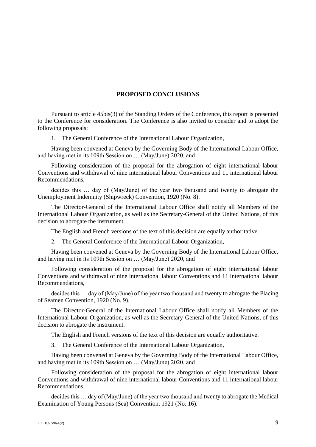#### **PROPOSED CONCLUSIONS**

<span id="page-13-0"></span>Pursuant to article 45bis(3) of the Standing Orders of the Conference, this report is presented to the Conference for consideration. The Conference is also invited to consider and to adopt the following proposals:

1. The General Conference of the International Labour Organization,

Having been convened at Geneva by the Governing Body of the International Labour Office, and having met in its 109th Session on … (May/June) 2020, and

Following consideration of the proposal for the abrogation of eight international labour Conventions and withdrawal of nine international labour Conventions and 11 international labour Recommendations,

decides this … day of (May/June) of the year two thousand and twenty to abrogate the Unemployment Indemnity (Shipwreck) Convention, 1920 (No. 8).

The Director-General of the International Labour Office shall notify all Members of the International Labour Organization, as well as the Secretary-General of the United Nations, of this decision to abrogate the instrument.

The English and French versions of the text of this decision are equally authoritative.

2. The General Conference of the International Labour Organization,

Having been convened at Geneva by the Governing Body of the International Labour Office, and having met in its 109th Session on … (May/June) 2020, and

Following consideration of the proposal for the abrogation of eight international labour Conventions and withdrawal of nine international labour Conventions and 11 international labour Recommendations,

decides this … day of (May/June) of the year two thousand and twenty to abrogate the Placing of Seamen Convention, 1920 (No. 9).

The Director-General of the International Labour Office shall notify all Members of the International Labour Organization, as well as the Secretary-General of the United Nations, of this decision to abrogate the instrument.

The English and French versions of the text of this decision are equally authoritative.

3. The General Conference of the International Labour Organization,

Having been convened at Geneva by the Governing Body of the International Labour Office, and having met in its 109th Session on … (May/June) 2020, and

Following consideration of the proposal for the abrogation of eight international labour Conventions and withdrawal of nine international labour Conventions and 11 international labour Recommendations,

decides this … day of (May/June) of the year two thousand and twenty to abrogate the Medical Examination of Young Persons (Sea) Convention, 1921 (No. 16).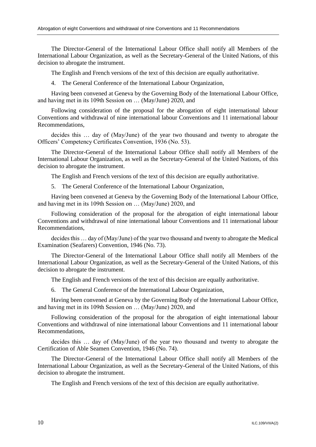The Director-General of the International Labour Office shall notify all Members of the International Labour Organization, as well as the Secretary-General of the United Nations, of this decision to abrogate the instrument.

The English and French versions of the text of this decision are equally authoritative.

4. The General Conference of the International Labour Organization,

Having been convened at Geneva by the Governing Body of the International Labour Office, and having met in its 109th Session on … (May/June) 2020, and

Following consideration of the proposal for the abrogation of eight international labour Conventions and withdrawal of nine international labour Conventions and 11 international labour Recommendations,

decides this … day of (May/June) of the year two thousand and twenty to abrogate the Officers' Competency Certificates Convention, 1936 (No. 53).

The Director-General of the International Labour Office shall notify all Members of the International Labour Organization, as well as the Secretary-General of the United Nations, of this decision to abrogate the instrument.

The English and French versions of the text of this decision are equally authoritative.

5. The General Conference of the International Labour Organization,

Having been convened at Geneva by the Governing Body of the International Labour Office, and having met in its 109th Session on … (May/June) 2020, and

Following consideration of the proposal for the abrogation of eight international labour Conventions and withdrawal of nine international labour Conventions and 11 international labour Recommendations,

decides this … day of (May/June) of the year two thousand and twenty to abrogate the Medical Examination (Seafarers) Convention, 1946 (No. 73).

The Director-General of the International Labour Office shall notify all Members of the International Labour Organization, as well as the Secretary-General of the United Nations, of this decision to abrogate the instrument.

The English and French versions of the text of this decision are equally authoritative.

6. The General Conference of the International Labour Organization,

Having been convened at Geneva by the Governing Body of the International Labour Office, and having met in its 109th Session on … (May/June) 2020, and

Following consideration of the proposal for the abrogation of eight international labour Conventions and withdrawal of nine international labour Conventions and 11 international labour Recommendations,

decides this … day of (May/June) of the year two thousand and twenty to abrogate the Certification of Able Seamen Convention, 1946 (No. 74).

The Director-General of the International Labour Office shall notify all Members of the International Labour Organization, as well as the Secretary-General of the United Nations, of this decision to abrogate the instrument.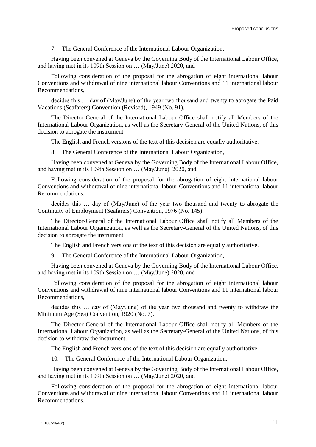Having been convened at Geneva by the Governing Body of the International Labour Office, and having met in its 109th Session on … (May/June) 2020, and

Following consideration of the proposal for the abrogation of eight international labour Conventions and withdrawal of nine international labour Conventions and 11 international labour Recommendations,

decides this … day of (May/June) of the year two thousand and twenty to abrogate the Paid Vacations (Seafarers) Convention (Revised), 1949 (No. 91).

The Director-General of the International Labour Office shall notify all Members of the International Labour Organization, as well as the Secretary-General of the United Nations, of this decision to abrogate the instrument.

The English and French versions of the text of this decision are equally authoritative.

8. The General Conference of the International Labour Organization,

Having been convened at Geneva by the Governing Body of the International Labour Office, and having met in its 109th Session on … (May/June) 2020, and

Following consideration of the proposal for the abrogation of eight international labour Conventions and withdrawal of nine international labour Conventions and 11 international labour Recommendations,

decides this … day of (May/June) of the year two thousand and twenty to abrogate the Continuity of Employment (Seafarers) Convention, 1976 (No. 145).

The Director-General of the International Labour Office shall notify all Members of the International Labour Organization, as well as the Secretary-General of the United Nations, of this decision to abrogate the instrument.

The English and French versions of the text of this decision are equally authoritative.

9. The General Conference of the International Labour Organization,

Having been convened at Geneva by the Governing Body of the International Labour Office, and having met in its 109th Session on … (May/June) 2020, and

Following consideration of the proposal for the abrogation of eight international labour Conventions and withdrawal of nine international labour Conventions and 11 international labour Recommendations,

decides this … day of (May/June) of the year two thousand and twenty to withdraw the Minimum Age (Sea) Convention, 1920 (No. 7).

The Director-General of the International Labour Office shall notify all Members of the International Labour Organization, as well as the Secretary-General of the United Nations, of this decision to withdraw the instrument.

The English and French versions of the text of this decision are equally authoritative.

10. The General Conference of the International Labour Organization,

Having been convened at Geneva by the Governing Body of the International Labour Office, and having met in its 109th Session on … (May/June) 2020, and

Following consideration of the proposal for the abrogation of eight international labour Conventions and withdrawal of nine international labour Conventions and 11 international labour Recommendations,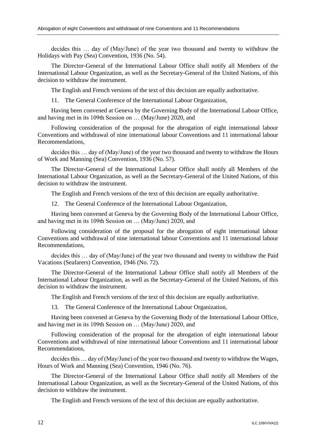decides this … day of (May/June) of the year two thousand and twenty to withdraw the Holidays with Pay (Sea) Convention, 1936 (No. 54).

The Director-General of the International Labour Office shall notify all Members of the International Labour Organization, as well as the Secretary-General of the United Nations, of this decision to withdraw the instrument.

The English and French versions of the text of this decision are equally authoritative.

11. The General Conference of the International Labour Organization,

Having been convened at Geneva by the Governing Body of the International Labour Office, and having met in its 109th Session on … (May/June) 2020, and

Following consideration of the proposal for the abrogation of eight international labour Conventions and withdrawal of nine international labour Conventions and 11 international labour Recommendations,

decides this … day of (May/June) of the year two thousand and twenty to withdraw the Hours of Work and Manning (Sea) Convention, 1936 (No. 57).

The Director-General of the International Labour Office shall notify all Members of the International Labour Organization, as well as the Secretary-General of the United Nations, of this decision to withdraw the instrument.

The English and French versions of the text of this decision are equally authoritative.

12. The General Conference of the International Labour Organization,

Having been convened at Geneva by the Governing Body of the International Labour Office, and having met in its 109th Session on … (May/June) 2020, and

Following consideration of the proposal for the abrogation of eight international labour Conventions and withdrawal of nine international labour Conventions and 11 international labour Recommendations,

decides this … day of (May/June) of the year two thousand and twenty to withdraw the Paid Vacations (Seafarers) Convention, 1946 (No. 72).

The Director-General of the International Labour Office shall notify all Members of the International Labour Organization, as well as the Secretary-General of the United Nations, of this decision to withdraw the instrument.

The English and French versions of the text of this decision are equally authoritative.

13. The General Conference of the International Labour Organization,

Having been convened at Geneva by the Governing Body of the International Labour Office, and having met in its 109th Session on … (May/June) 2020, and

Following consideration of the proposal for the abrogation of eight international labour Conventions and withdrawal of nine international labour Conventions and 11 international labour Recommendations,

decides this … day of (May/June) of the year two thousand and twenty to withdraw the Wages, Hours of Work and Manning (Sea) Convention, 1946 (No. 76).

The Director-General of the International Labour Office shall notify all Members of the International Labour Organization, as well as the Secretary-General of the United Nations, of this decision to withdraw the instrument.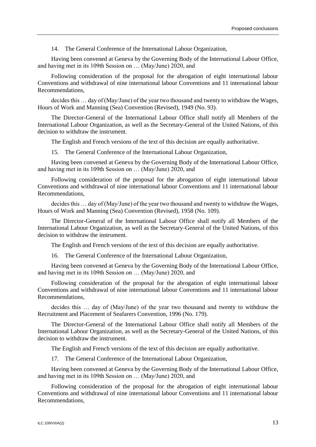Having been convened at Geneva by the Governing Body of the International Labour Office, and having met in its 109th Session on … (May/June) 2020, and

Following consideration of the proposal for the abrogation of eight international labour Conventions and withdrawal of nine international labour Conventions and 11 international labour Recommendations,

decides this … day of (May/June) of the year two thousand and twenty to withdraw the Wages, Hours of Work and Manning (Sea) Convention (Revised), 1949 (No. 93).

The Director-General of the International Labour Office shall notify all Members of the International Labour Organization, as well as the Secretary-General of the United Nations, of this decision to withdraw the instrument.

The English and French versions of the text of this decision are equally authoritative.

15. The General Conference of the International Labour Organization,

Having been convened at Geneva by the Governing Body of the International Labour Office, and having met in its 109th Session on … (May/June) 2020, and

Following consideration of the proposal for the abrogation of eight international labour Conventions and withdrawal of nine international labour Conventions and 11 international labour Recommendations,

decides this … day of (May/June) of the year two thousand and twenty to withdraw the Wages, Hours of Work and Manning (Sea) Convention (Revised), 1958 (No. 109).

The Director-General of the International Labour Office shall notify all Members of the International Labour Organization, as well as the Secretary-General of the United Nations, of this decision to withdraw the instrument.

The English and French versions of the text of this decision are equally authoritative.

16. The General Conference of the International Labour Organization,

Having been convened at Geneva by the Governing Body of the International Labour Office, and having met in its 109th Session on … (May/June) 2020, and

Following consideration of the proposal for the abrogation of eight international labour Conventions and withdrawal of nine international labour Conventions and 11 international labour Recommendations,

decides this … day of (May/June) of the year two thousand and twenty to withdraw the Recruitment and Placement of Seafarers Convention, 1996 (No. 179).

The Director-General of the International Labour Office shall notify all Members of the International Labour Organization, as well as the Secretary-General of the United Nations, of this decision to withdraw the instrument.

The English and French versions of the text of this decision are equally authoritative.

17. The General Conference of the International Labour Organization,

Having been convened at Geneva by the Governing Body of the International Labour Office, and having met in its 109th Session on … (May/June) 2020, and

Following consideration of the proposal for the abrogation of eight international labour Conventions and withdrawal of nine international labour Conventions and 11 international labour Recommendations,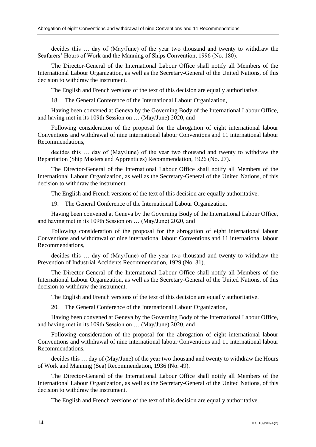decides this … day of (May/June) of the year two thousand and twenty to withdraw the Seafarers' Hours of Work and the Manning of Ships Convention, 1996 (No. 180).

The Director-General of the International Labour Office shall notify all Members of the International Labour Organization, as well as the Secretary-General of the United Nations, of this decision to withdraw the instrument.

The English and French versions of the text of this decision are equally authoritative.

18. The General Conference of the International Labour Organization,

Having been convened at Geneva by the Governing Body of the International Labour Office, and having met in its 109th Session on … (May/June) 2020, and

Following consideration of the proposal for the abrogation of eight international labour Conventions and withdrawal of nine international labour Conventions and 11 international labour Recommendations,

decides this … day of (May/June) of the year two thousand and twenty to withdraw the Repatriation (Ship Masters and Apprentices) Recommendation, 1926 (No. 27).

The Director-General of the International Labour Office shall notify all Members of the International Labour Organization, as well as the Secretary-General of the United Nations, of this decision to withdraw the instrument.

The English and French versions of the text of this decision are equally authoritative.

19. The General Conference of the International Labour Organization,

Having been convened at Geneva by the Governing Body of the International Labour Office, and having met in its 109th Session on … (May/June) 2020, and

Following consideration of the proposal for the abrogation of eight international labour Conventions and withdrawal of nine international labour Conventions and 11 international labour Recommendations,

decides this … day of (May/June) of the year two thousand and twenty to withdraw the Prevention of Industrial Accidents Recommendation, 1929 (No. 31).

The Director-General of the International Labour Office shall notify all Members of the International Labour Organization, as well as the Secretary-General of the United Nations, of this decision to withdraw the instrument.

The English and French versions of the text of this decision are equally authoritative.

20. The General Conference of the International Labour Organization,

Having been convened at Geneva by the Governing Body of the International Labour Office, and having met in its 109th Session on … (May/June) 2020, and

Following consideration of the proposal for the abrogation of eight international labour Conventions and withdrawal of nine international labour Conventions and 11 international labour Recommendations,

decides this … day of (May/June) of the year two thousand and twenty to withdraw the Hours of Work and Manning (Sea) Recommendation, 1936 (No. 49).

The Director-General of the International Labour Office shall notify all Members of the International Labour Organization, as well as the Secretary-General of the United Nations, of this decision to withdraw the instrument.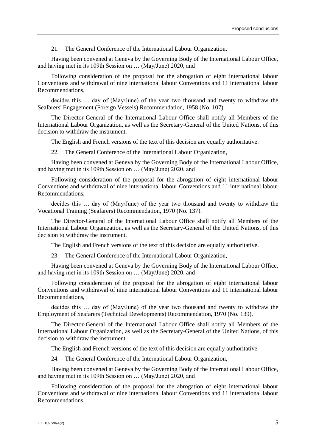Having been convened at Geneva by the Governing Body of the International Labour Office, and having met in its 109th Session on … (May/June) 2020, and

Following consideration of the proposal for the abrogation of eight international labour Conventions and withdrawal of nine international labour Conventions and 11 international labour Recommendations,

decides this … day of (May/June) of the year two thousand and twenty to withdraw the Seafarers' Engagement (Foreign Vessels) Recommendation, 1958 (No. 107).

The Director-General of the International Labour Office shall notify all Members of the International Labour Organization, as well as the Secretary-General of the United Nations, of this decision to withdraw the instrument.

The English and French versions of the text of this decision are equally authoritative.

22. The General Conference of the International Labour Organization,

Having been convened at Geneva by the Governing Body of the International Labour Office, and having met in its 109th Session on … (May/June) 2020, and

Following consideration of the proposal for the abrogation of eight international labour Conventions and withdrawal of nine international labour Conventions and 11 international labour Recommendations,

decides this … day of (May/June) of the year two thousand and twenty to withdraw the Vocational Training (Seafarers) Recommendation, 1970 (No. 137).

The Director-General of the International Labour Office shall notify all Members of the International Labour Organization, as well as the Secretary-General of the United Nations, of this decision to withdraw the instrument.

The English and French versions of the text of this decision are equally authoritative.

23. The General Conference of the International Labour Organization,

Having been convened at Geneva by the Governing Body of the International Labour Office, and having met in its 109th Session on … (May/June) 2020, and

Following consideration of the proposal for the abrogation of eight international labour Conventions and withdrawal of nine international labour Conventions and 11 international labour Recommendations,

decides this … day of (May/June) of the year two thousand and twenty to withdraw the Employment of Seafarers (Technical Developments) Recommendation, 1970 (No. 139).

The Director-General of the International Labour Office shall notify all Members of the International Labour Organization, as well as the Secretary-General of the United Nations, of this decision to withdraw the instrument.

The English and French versions of the text of this decision are equally authoritative.

24. The General Conference of the International Labour Organization,

Having been convened at Geneva by the Governing Body of the International Labour Office, and having met in its 109th Session on … (May/June) 2020, and

Following consideration of the proposal for the abrogation of eight international labour Conventions and withdrawal of nine international labour Conventions and 11 international labour Recommendations,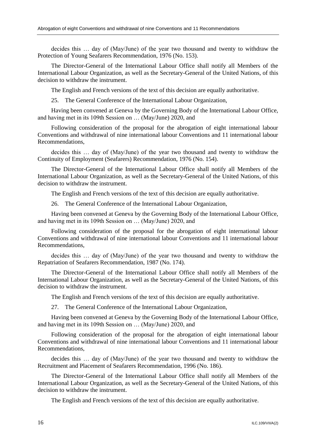decides this … day of (May/June) of the year two thousand and twenty to withdraw the Protection of Young Seafarers Recommendation, 1976 (No. 153).

The Director-General of the International Labour Office shall notify all Members of the International Labour Organization, as well as the Secretary-General of the United Nations, of this decision to withdraw the instrument.

The English and French versions of the text of this decision are equally authoritative.

25. The General Conference of the International Labour Organization,

Having been convened at Geneva by the Governing Body of the International Labour Office, and having met in its 109th Session on … (May/June) 2020, and

Following consideration of the proposal for the abrogation of eight international labour Conventions and withdrawal of nine international labour Conventions and 11 international labour Recommendations,

decides this … day of (May/June) of the year two thousand and twenty to withdraw the Continuity of Employment (Seafarers) Recommendation, 1976 (No. 154).

The Director-General of the International Labour Office shall notify all Members of the International Labour Organization, as well as the Secretary-General of the United Nations, of this decision to withdraw the instrument.

The English and French versions of the text of this decision are equally authoritative.

26. The General Conference of the International Labour Organization,

Having been convened at Geneva by the Governing Body of the International Labour Office, and having met in its 109th Session on … (May/June) 2020, and

Following consideration of the proposal for the abrogation of eight international labour Conventions and withdrawal of nine international labour Conventions and 11 international labour Recommendations,

decides this … day of (May/June) of the year two thousand and twenty to withdraw the Repatriation of Seafarers Recommendation, 1987 (No. 174).

The Director-General of the International Labour Office shall notify all Members of the International Labour Organization, as well as the Secretary-General of the United Nations, of this decision to withdraw the instrument.

The English and French versions of the text of this decision are equally authoritative.

27. The General Conference of the International Labour Organization,

Having been convened at Geneva by the Governing Body of the International Labour Office, and having met in its 109th Session on … (May/June) 2020, and

Following consideration of the proposal for the abrogation of eight international labour Conventions and withdrawal of nine international labour Conventions and 11 international labour Recommendations,

decides this … day of (May/June) of the year two thousand and twenty to withdraw the Recruitment and Placement of Seafarers Recommendation, 1996 (No. 186).

The Director-General of the International Labour Office shall notify all Members of the International Labour Organization, as well as the Secretary-General of the United Nations, of this decision to withdraw the instrument.